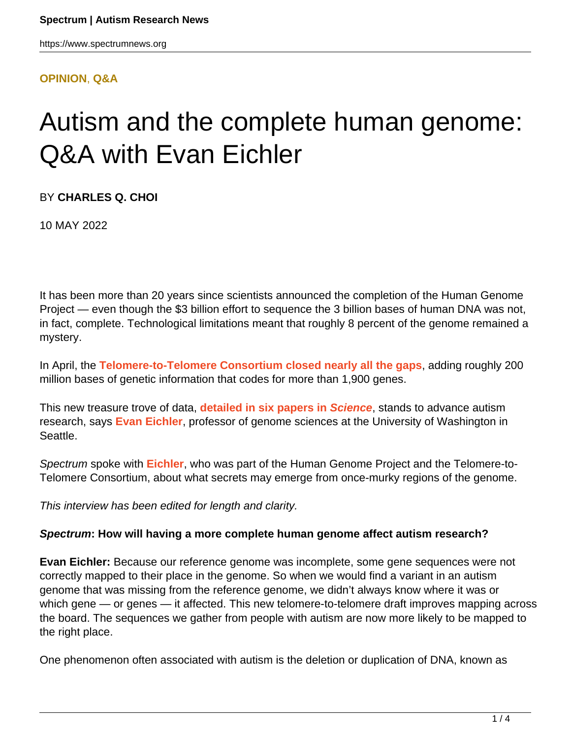#### **[OPINION](HTTPS://WWW.SPECTRUMNEWS.ORG/OPINION/)**, **[Q&A](HTTPS://WWW.SPECTRUMNEWS.ORG/OPINION/Q-AND-A/)**

# Autism and the complete human genome: Q&A with Evan Eichler

BY **CHARLES Q. CHOI**

10 MAY 2022

It has been more than 20 years since scientists announced the completion of the Human Genome Project — even though the \$3 billion effort to sequence the 3 billion bases of human DNA was not, in fact, complete. Technological limitations meant that roughly 8 percent of the genome remained a mystery.

In April, the **[Telomere-to-Telomere Consortium](https://sites.google.com/ucsc.edu/t2tworkinggroup) [closed nearly all the gaps](https://www.spectrumnews.org/news/community-newsletter-completed-human-genome-chromosome-16-convergence-avoiding-ableism/)**, adding roughly 200 million bases of genetic information that codes for more than 1,900 genes.

This new treasure trove of data, **[detailed in six papers in](https://www.science.org/toc/science/376/6588) [Science](https://www.science.org/toc/science/376/6588)**, stands to advance autism research, says **[Evan Eichler](https://eichlerlab.gs.washington.edu/evan.html)**, professor of genome sciences at the University of Washington in Seattle.

Spectrum spoke with **[Eichler](https://www.spectrumnews.org/news/profiles/evan-eichler-following-his-instincts-to-autism-hotspots/)**, who was part of the Human Genome Project and the Telomere-to-Telomere Consortium, about what secrets may emerge from once-murky regions of the genome.

This interview has been edited for length and clarity.

### **Spectrum: How will having a more complete human genome affect autism research?**

**Evan Eichler:** Because our reference genome was incomplete, some gene sequences were not correctly mapped to their place in the genome. So when we would find a variant in an autism genome that was missing from the reference genome, we didn't always know where it was or which gene — or genes — it affected. This new telomere-to-telomere draft improves mapping across the board. The sequences we gather from people with autism are now more likely to be mapped to the right place.

One phenomenon often associated with autism is the deletion or duplication of DNA, known as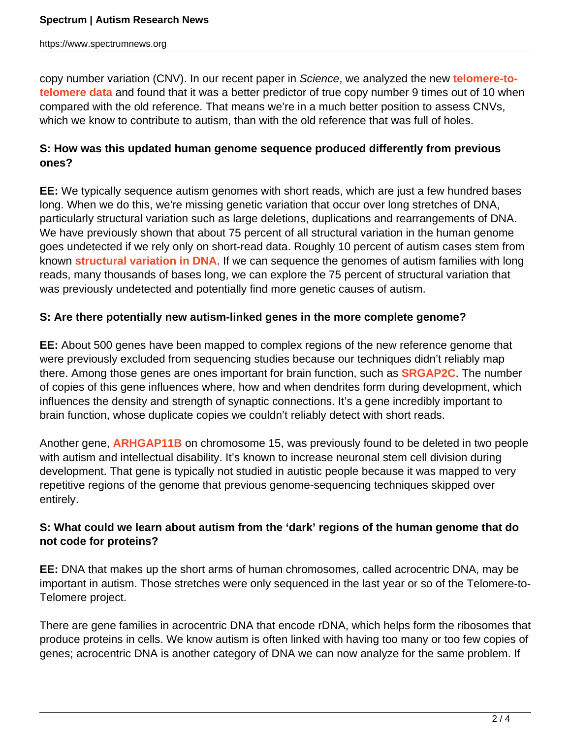https://www.spectrumnews.org

copy number variation (CNV). In our recent paper in Science, we analyzed the new **[telomere-to](https://www.science.org/doi/10.1126/science.abj6965)[telomere data](https://www.science.org/doi/10.1126/science.abj6965)** and found that it was a better predictor of true copy number 9 times out of 10 when compared with the old reference. That means we're in a much better position to assess CNVs, which we know to contribute to autism, than with the old reference that was full of holes.

# **S: How was this updated human genome sequence produced differently from previous ones?**

**EE:** We typically sequence autism genomes with short reads, which are just a few hundred bases long. When we do this, we're missing genetic variation that occur over long stretches of DNA, particularly structural variation such as large deletions, duplications and rearrangements of DNA. We have previously shown that about 75 percent of all structural variation in the human genome goes undetected if we rely only on short-read data. Roughly 10 percent of autism cases stem from known **[structural variation in DNA](https://www.spectrumnews.org/news/toolbox/massive-genomic-database-helps-decode-mutations-effects/)**. If we can sequence the genomes of autism families with long reads, many thousands of bases long, we can explore the 75 percent of structural variation that was previously undetected and potentially find more genetic causes of autism.

### **S: Are there potentially new autism-linked genes in the more complete genome?**

**EE:** About 500 genes have been mapped to complex regions of the new reference genome that were previously excluded from sequencing studies because our techniques didn't reliably map there. Among those genes are ones important for brain function, such as **[SRGAP2C](https://www.spectrumnews.org/opinion/q-and-a/questions-evan-eichler-evolving-theory-autism/)**. The number of copies of this gene influences where, how and when dendrites form during development, which influences the density and strength of synaptic connections. It's a gene incredibly important to brain function, whose duplicate copies we couldn't reliably detect with short reads.

Another gene, **[ARHGAP11B](https://www.spectrumnews.org/news/spotted/spotted-social-cells-brain-bulge/)** on chromosome 15, was previously found to be deleted in two people with autism and intellectual disability. It's known to increase neuronal stem cell division during development. That gene is typically not studied in autistic people because it was mapped to very repetitive regions of the genome that previous genome-sequencing techniques skipped over entirely.

### **S: What could we learn about autism from the 'dark' regions of the human genome that do not code for proteins?**

**EE:** DNA that makes up the short arms of human chromosomes, called acrocentric DNA, may be important in autism. Those stretches were only sequenced in the last year or so of the Telomere-to-Telomere project.

There are gene families in acrocentric DNA that encode rDNA, which helps form the ribosomes that produce proteins in cells. We know autism is often linked with having too many or too few copies of genes; acrocentric DNA is another category of DNA we can now analyze for the same problem. If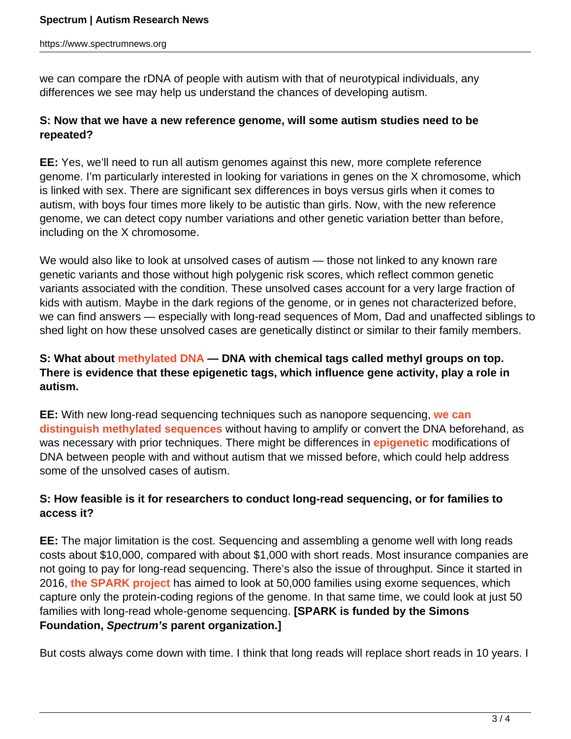we can compare the rDNA of people with autism with that of neurotypical individuals, any differences we see may help us understand the chances of developing autism.

### **S: Now that we have a new reference genome, will some autism studies need to be repeated?**

**EE:** Yes, we'll need to run all autism genomes against this new, more complete reference genome. I'm particularly interested in looking for variations in genes on the X chromosome, which is linked with sex. There are significant sex differences in boys versus girls when it comes to autism, with boys four times more likely to be autistic than girls. Now, with the new reference genome, we can detect copy number variations and other genetic variation better than before, including on the X chromosome.

We would also like to look at unsolved cases of autism — those not linked to any known rare genetic variants and those without high polygenic risk scores, which reflect common genetic variants associated with the condition. These unsolved cases account for a very large fraction of kids with autism. Maybe in the dark regions of the genome, or in genes not characterized before, we can find answers — especially with long-read sequences of Mom, Dad and unaffected siblings to shed light on how these unsolved cases are genetically distinct or similar to their family members.

# **S: What about [methylated DNA](https://www.spectrumnews.org/news/dna-methylation-in-autism-explained/) — DNA with chemical tags called methyl groups on top. There is evidence that these epigenetic tags, which influence gene activity, play a role in autism.**

**EE:** With new long-read sequencing techniques such as nanopore sequencing, **[we can](https://www.science.org/doi/10.1126/science.abj5089) [distinguish methylated sequences](https://www.science.org/doi/10.1126/science.abj5089)** without having to amplify or convert the DNA beforehand, as was necessary with prior techniques. There might be differences in **[epigenetic](https://www.spectrumnews.org/wiki/epigenetics/)** modifications of DNA between people with and without autism that we missed before, which could help address some of the unsolved cases of autism.

# **S: How feasible is it for researchers to conduct long-read sequencing, or for families to access it?**

**EE:** The major limitation is the cost. Sequencing and assembling a genome well with long reads costs about \$10,000, compared with about \$1,000 with short reads. Most insurance companies are not going to pay for long-read sequencing. There's also the issue of throughput. Since it started in 2016, **[the SPARK project](https://www.spectrumnews.org/news/large-genetic-registry-may-uncover-autisms-diverse-origins/)** has aimed to look at 50,000 families using exome sequences, which capture only the protein-coding regions of the genome. In that same time, we could look at just 50 families with long-read whole-genome sequencing. **[SPARK is funded by the Simons Foundation, Spectrum's parent organization.]**

But costs always come down with time. I think that long reads will replace short reads in 10 years. I